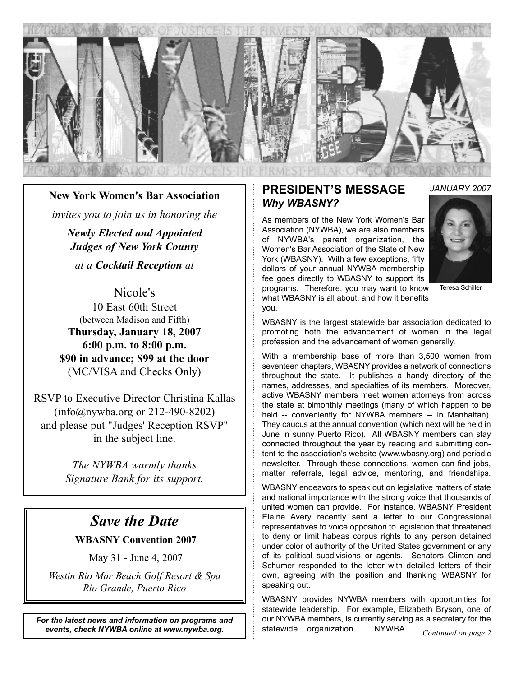

#### **New York Women's Bar Association**

*invites you to join us in honoring the*

*Newly Elected and Appointed Judges of New York County*

*at a Cocktail Reception at*

Nicole's 10 East 60th Street (between Madison and Fifth) **Thursday, January 18, 2007 6:00 p.m. to 8:00 p.m. \$90 in advance; \$99 at the door** (MC/VISA and Checks Only)

RSVP to Executive Director Christina Kallas (info@nywba.org or 212-490-8202) and please put "Judges' Reception RSVP" in the subject line.

> *The NYWBA warmly thanks Signature Bank for its support.*

## *Save the Date*

#### **WBASNY Convention 2007**

May 31 - June 4, 2007

*Westin Rio Mar Beach Golf Resort & Spa Rio Grande, Puerto Rico*

*For the latest news and information on programs and events, check NYWBA online at www.nywba.org.*

### **PRESIDENT'S MESSAGE** *Why WBASNY?*

As members of the New York Women's Bar Association (NYWBA), we are also members of NYWBA's parent organization, the Women's Bar Association of the State of New York (WBASNY). With a few exceptions, fifty dollars of your annual NYWBA membership fee goes directly to WBASNY to support its programs. Therefore, you may want to know what WBASNY is all about, and how it benefits you.



Teresa Schiller

WBASNY is the largest statewide bar association dedicated to promoting both the advancement of women in the legal profession and the advancement of women generally.

With a membership base of more than 3,500 women from seventeen chapters, WBASNY provides a network of connections throughout the state. It publishes a handy directory of the names, addresses, and specialties of its members. Moreover, active WBASNY members meet women attorneys from across the state at bimonthly meetings (many of which happen to be held -- conveniently for NYWBA members -- in Manhattan). They caucus at the annual convention (which next will be held in June in sunny Puerto Rico). All WBASNY members can stay connected throughout the year by reading and submitting content to the association's website (www.wbasny.org) and periodic newsletter. Through these connections, women can find jobs, matter referrals, legal advice, mentoring, and friendships.

WBASNY endeavors to speak out on legislative matters of state and national importance with the strong voice that thousands of united women can provide. For instance, WBASNY President Elaine Avery recently sent a letter to our Congressional representatives to voice opposition to legislation that threatened to deny or limit habeas corpus rights to any person detained under color of authority of the United States government or any of its political subdivisions or agents. Senators Clinton and Schumer responded to the letter with detailed letters of their own, agreeing with the position and thanking WBASNY for speaking out.

WBASNY provides NYWBA members with opportunities for statewide leadership. For example, Elizabeth Bryson, one of our NYWBA members, is currently serving as a secretary for the statewide organization. NYWBA *Continued on page 2*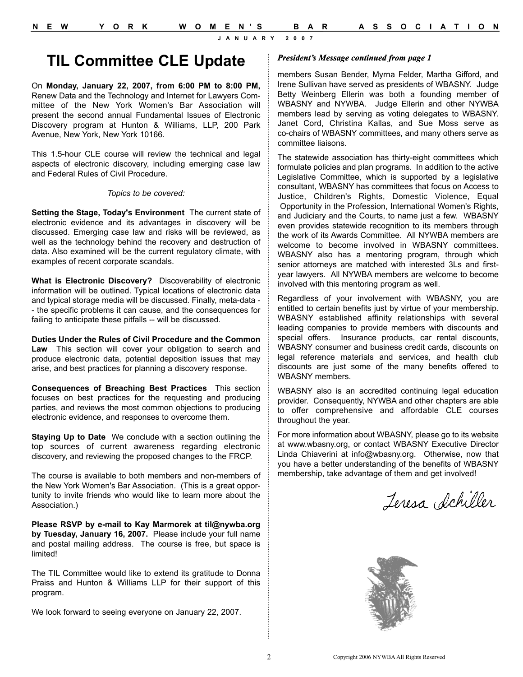## **TIL Committee CLE Update**

On **Monday, January 22, 2007, from 6:00 PM to 8:00 PM,** Renew Data and the Technology and Internet for Lawyers Committee of the New York Women's Bar Association will present the second annual Fundamental Issues of Electronic Discovery program at Hunton & Williams, LLP, 200 Park Avenue, New York, New York 10166.

This 1.5-hour CLE course will review the technical and legal aspects of electronic discovery, including emerging case law and Federal Rules of Civil Procedure.

*Topics to be covered:* 

**Setting the Stage, Today's Environment** The current state of electronic evidence and its advantages in discovery will be discussed. Emerging case law and risks will be reviewed, as well as the technology behind the recovery and destruction of data. Also examined will be the current regulatory climate, with examples of recent corporate scandals.

**What is Electronic Discovery?** Discoverability of electronic information will be outlined. Typical locations of electronic data and typical storage media will be discussed. Finally, meta-data - - the specific problems it can cause, and the consequences for failing to anticipate these pitfalls -- will be discussed.

**Duties Under the Rules of Civil Procedure and the Common Law** This section will cover your obligation to search and produce electronic data, potential deposition issues that may arise, and best practices for planning a discovery response.

**Consequences of Breaching Best Practices** This section focuses on best practices for the requesting and producing parties, and reviews the most common objections to producing electronic evidence, and responses to overcome them.

**Staying Up to Date** We conclude with a section outlining the top sources of current awareness regarding electronic discovery, and reviewing the proposed changes to the FRCP.

The course is available to both members and non-members of the New York Women's Bar Association. (This is a great opportunity to invite friends who would like to learn more about the Association.)

**Please RSVP by e-mail to Kay Marmorek at til@nywba.org by Tuesday, January 16, 2007.** Please include your full name and postal mailing address. The course is free, but space is limited!

The TIL Committee would like to extend its gratitude to Donna Praiss and Hunton & Williams LLP for their support of this program.

We look forward to seeing everyone on January 22, 2007.

#### *President's Message continued from page 1*

members Susan Bender, Myrna Felder, Martha Gifford, and Irene Sullivan have served as presidents of WBASNY. Judge Betty Weinberg Ellerin was both a founding member of WBASNY and NYWBA. Judge Ellerin and other NYWBA members lead by serving as voting delegates to WBASNY. Janet Cord, Christina Kallas, and Sue Moss serve as co-chairs of WBASNY committees, and many others serve as committee liaisons.

The statewide association has thirty-eight committees which formulate policies and plan programs. In addition to the active Legislative Committee, which is supported by a legislative consultant, WBASNY has committees that focus on Access to Justice, Children's Rights, Domestic Violence, Equal Opportunity in the Profession, International Women's Rights, and Judiciary and the Courts, to name just a few. WBASNY even provides statewide recognition to its members through the work of its Awards Committee. All NYWBA members are welcome to become involved in WBASNY committees. WBASNY also has a mentoring program, through which senior attorneys are matched with interested 3Ls and firstyear lawyers. All NYWBA members are welcome to become involved with this mentoring program as well.

Regardless of your involvement with WBASNY, you are entitled to certain benefits just by virtue of your membership. WBASNY established affinity relationships with several leading companies to provide members with discounts and special offers. Insurance products, car rental discounts, WBASNY consumer and business credit cards, discounts on legal reference materials and services, and health club discounts are just some of the many benefits offered to WBASNY members.

WBASNY also is an accredited continuing legal education provider. Consequently, NYWBA and other chapters are able to offer comprehensive and affordable CLE courses throughout the year.

For more information about WBASNY, please go to its website at www.wbasny.org, or contact WBASNY Executive Director Linda Chiaverini at info@wbasny.org. Otherwise, now that you have a better understanding of the benefits of WBASNY membership, take advantage of them and get involved!

Jeresa Schiller

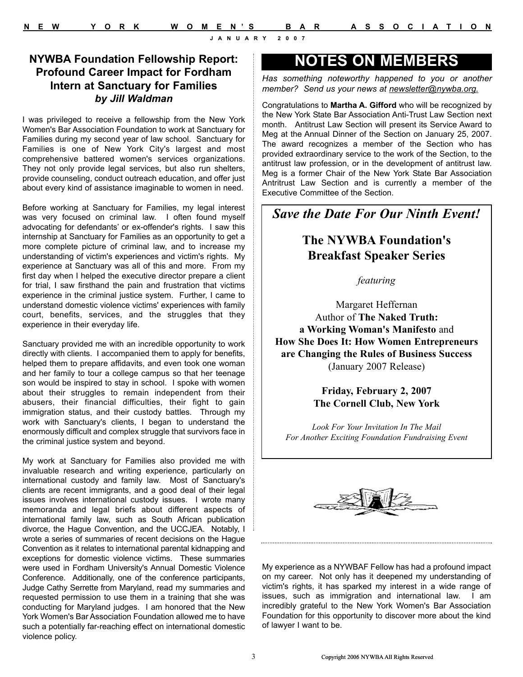#### **NYWBA Foundation Fellowship Report: Profound Career Impact for Fordham Intern at Sanctuary for Families** *by Jill Waldman*

I was privileged to receive a fellowship from the New York Women's Bar Association Foundation to work at Sanctuary for Families during my second year of law school. Sanctuary for Families is one of New York City's largest and most comprehensive battered women's services organizations. They not only provide legal services, but also run shelters, provide counseling, conduct outreach education, and offer just about every kind of assistance imaginable to women in need.

Before working at Sanctuary for Families, my legal interest was very focused on criminal law. I often found myself advocating for defendants' or ex-offender's rights. I saw this internship at Sanctuary for Families as an opportunity to get a more complete picture of criminal law, and to increase my understanding of victim's experiences and victim's rights. My experience at Sanctuary was all of this and more. From my first day when I helped the executive director prepare a client for trial, I saw firsthand the pain and frustration that victims experience in the criminal justice system. Further, I came to understand domestic violence victims' experiences with family court, benefits, services, and the struggles that they experience in their everyday life.

Sanctuary provided me with an incredible opportunity to work directly with clients. I accompanied them to apply for benefits, helped them to prepare affidavits, and even took one woman and her family to tour a college campus so that her teenage son would be inspired to stay in school. I spoke with women about their struggles to remain independent from their abusers, their financial difficulties, their fight to gain immigration status, and their custody battles. Through my work with Sanctuary's clients, I began to understand the enormously difficult and complex struggle that survivors face in the criminal justice system and beyond.

My work at Sanctuary for Families also provided me with invaluable research and writing experience, particularly on international custody and family law. Most of Sanctuary's clients are recent immigrants, and a good deal of their legal issues involves international custody issues. I wrote many memoranda and legal briefs about different aspects of international family law, such as South African publication divorce, the Hague Convention, and the UCCJEA. Notably, I wrote a series of summaries of recent decisions on the Hague Convention as it relates to international parental kidnapping and exceptions for domestic violence victims. These summaries were used in Fordham University's Annual Domestic Violence Conference. Additionally, one of the conference participants, Judge Cathy Serrette from Maryland, read my summaries and requested permission to use them in a training that she was conducting for Maryland judges. I am honored that the New York Women's Bar Association Foundation allowed me to have such a potentially far-reaching effect on international domestic violence policy.

# **NOTES ON MEMBERS**

*Has something noteworthy happened to you or another member? Send us your news at newsletter@nywba.org.*

Congratulations to **Martha A. Gifford** who will be recognized by the New York State Bar Association Anti-Trust Law Section next month. Antitrust Law Section will present its Service Award to Meg at the Annual Dinner of the Section on January 25, 2007. The award recognizes a member of the Section who has provided extraordinary service to the work of the Section, to the antitrust law profession, or in the development of antitrust law. Meg is a former Chair of the New York State Bar Association Antritrust Law Section and is currently a member of the Executive Committee of the Section.

### *Save the Date For Our Ninth Event!*

### **The NYWBA Foundation's Breakfast Speaker Series**

*featuring*

Margaret Heffernan Author of **The Naked Truth: a Working Woman's Manifesto** and **How She Does It: How Women Entrepreneurs are Changing the Rules of Business Success** (January 2007 Release)

#### **Friday, February 2, 2007 The Cornell Club, New York**

*Look For Your Invitation In The Mail For Another Exciting Foundation Fundraising Event*



My experience as a NYWBAF Fellow has had a profound impact on my career. Not only has it deepened my understanding of victim's rights, it has sparked my interest in a wide range of issues, such as immigration and international law. I am incredibly grateful to the New York Women's Bar Association Foundation for this opportunity to discover more about the kind of lawyer I want to be.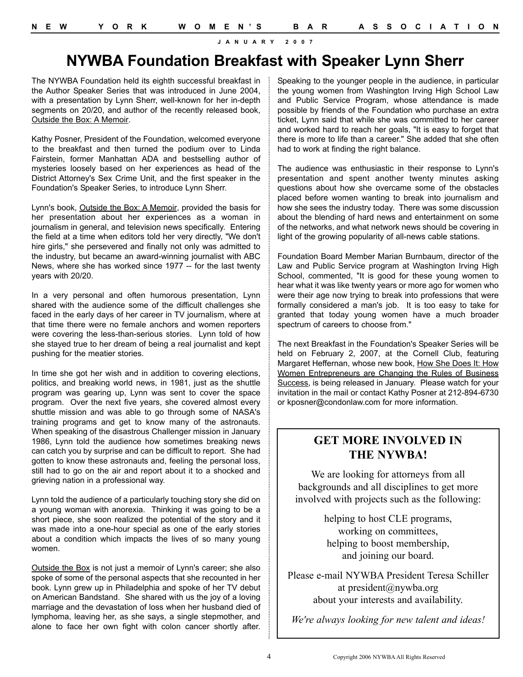# **NYWBA Foundation Breakfast with Speaker Lynn Sherr**

The NYWBA Foundation held its eighth successful breakfast in the Author Speaker Series that was introduced in June 2004, with a presentation by Lynn Sherr, well-known for her in-depth segments on 20/20, and author of the recently released book, Outside the Box: A Memoir.

Kathy Posner, President of the Foundation, welcomed everyone to the breakfast and then turned the podium over to Linda Fairstein, former Manhattan ADA and bestselling author of mysteries loosely based on her experiences as head of the District Attorney's Sex Crime Unit, and the first speaker in the Foundation's Speaker Series, to introduce Lynn Sherr.

Lynn's book, Outside the Box: A Memoir, provided the basis for her presentation about her experiences as a woman in journalism in general, and television news specifically. Entering the field at a time when editors told her very directly, "We don't hire girls," she persevered and finally not only was admitted to the industry, but became an award-winning journalist with ABC News, where she has worked since 1977 -- for the last twenty years with 20/20.

In a very personal and often humorous presentation, Lynn shared with the audience some of the difficult challenges she faced in the early days of her career in TV journalism, where at that time there were no female anchors and women reporters were covering the less-than-serious stories. Lynn told of how she stayed true to her dream of being a real journalist and kept pushing for the meatier stories.

In time she got her wish and in addition to covering elections, politics, and breaking world news, in 1981, just as the shuttle program was gearing up, Lynn was sent to cover the space program. Over the next five years, she covered almost every shuttle mission and was able to go through some of NASA's training programs and get to know many of the astronauts. When speaking of the disastrous Challenger mission in January 1986, Lynn told the audience how sometimes breaking news can catch you by surprise and can be difficult to report. She had gotten to know these astronauts and, feeling the personal loss, still had to go on the air and report about it to a shocked and grieving nation in a professional way.

Lynn told the audience of a particularly touching story she did on a young woman with anorexia. Thinking it was going to be a short piece, she soon realized the potential of the story and it was made into a one-hour special as one of the early stories about a condition which impacts the lives of so many young women.

Outside the Box is not just a memoir of Lynn's career; she also spoke of some of the personal aspects that she recounted in her book. Lynn grew up in Philadelphia and spoke of her TV debut on American Bandstand. She shared with us the joy of a loving marriage and the devastation of loss when her husband died of lymphoma, leaving her, as she says, a single stepmother, and alone to face her own fight with colon cancer shortly after.

Speaking to the younger people in the audience, in particular the young women from Washington Irving High School Law and Public Service Program, whose attendance is made possible by friends of the Foundation who purchase an extra ticket, Lynn said that while she was committed to her career and worked hard to reach her goals, "It is easy to forget that there is more to life than a career." She added that she often had to work at finding the right balance.

The audience was enthusiastic in their response to Lynn's presentation and spent another twenty minutes asking questions about how she overcame some of the obstacles placed before women wanting to break into journalism and how she sees the industry today. There was some discussion about the blending of hard news and entertainment on some of the networks, and what network news should be covering in light of the growing popularity of all-news cable stations.

Foundation Board Member Marian Burnbaum, director of the Law and Public Service program at Washington Irving High School, commented, "It is good for these young women to hear what it was like twenty years or more ago for women who were their age now trying to break into professions that were formally considered a man's job. It is too easy to take for granted that today young women have a much broader spectrum of careers to choose from."

The next Breakfast in the Foundation's Speaker Series will be held on February 2, 2007, at the Cornell Club, featuring Margaret Heffernan, whose new book, How She Does It: How Women Entrepreneurs are Changing the Rules of Business Success, is being released in January. Please watch for your invitation in the mail or contact Kathy Posner at 212-894-6730 or kposner@condonlaw.com for more information.

### **GET MORE INVOLVED IN THE NYWBA!**

We are looking for attorneys from all backgrounds and all disciplines to get more involved with projects such as the following:

> helping to host CLE programs, working on committees, helping to boost membership, and joining our board.

Please e-mail NYWBA President Teresa Schiller at president@nywba.org about your interests and availability.

*We're always looking for new talent and ideas!*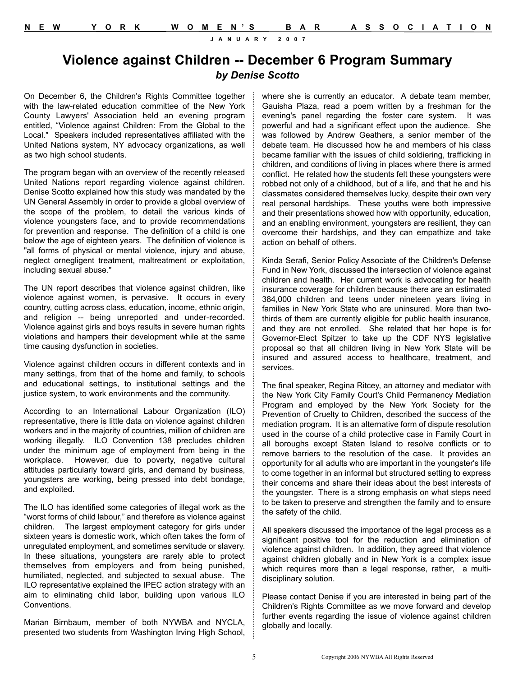### **Violence against Children -- December 6 Program Summary** *by Denise Scotto*

On December 6, the Children's Rights Committee together with the law-related education committee of the New York County Lawyers' Association held an evening program entitled, "Violence against Children: From the Global to the Local." Speakers included representatives affiliated with the United Nations system, NY advocacy organizations, as well as two high school students.

The program began with an overview of the recently released United Nations report regarding violence against children. Denise Scotto explained how this study was mandated by the UN General Assembly in order to provide a global overview of the scope of the problem, to detail the various kinds of violence youngsters face, and to provide recommendations for prevention and response. The definition of a child is one below the age of eighteen years. The definition of violence is "all forms of physical or mental violence, injury and abuse, neglect ornegligent treatment, maltreatment or exploitation, including sexual abuse."

The UN report describes that violence against children, like violence against women, is pervasive. It occurs in every country, cutting across class, education, income, ethnic origin, and religion -- being unreported and under-recorded. Violence against girls and boys results in severe human rights violations and hampers their development while at the same time causing dysfunction in societies.

Violence against children occurs in different contexts and in many settings, from that of the home and family, to schools and educational settings, to institutional settings and the justice system, to work environments and the community.

According to an International Labour Organization (ILO) representative, there is little data on violence against children workers and in the majority of countries, million of children are working illegally. ILO Convention 138 precludes children under the minimum age of employment from being in the workplace. However, due to poverty, negative cultural attitudes particularly toward girls, and demand by business, youngsters are working, being pressed into debt bondage, and exploited.

The ILO has identified some categories of illegal work as the "worst forms of child labour," and therefore as violence against children. The largest employment category for girls under sixteen years is domestic work, which often takes the form of unregulated employment, and sometimes servitude or slavery. In these situations, youngsters are rarely able to protect themselves from employers and from being punished, humiliated, neglected, and subjected to sexual abuse. The ILO representative explained the IPEC action strategy with an aim to eliminating child labor, building upon various ILO Conventions.

Marian Birnbaum, member of both NYWBA and NYCLA, presented two students from Washington Irving High School, where she is currently an educator. A debate team member, Gauisha Plaza, read a poem written by a freshman for the evening's panel regarding the foster care system. It was powerful and had a significant effect upon the audience. She was followed by Andrew Geathers, a senior member of the debate team. He discussed how he and members of his class became familiar with the issues of child soldiering, trafficking in children, and conditions of living in places where there is armed conflict. He related how the students felt these youngsters were robbed not only of a childhood, but of a life, and that he and his classmates considered themselves lucky, despite their own very real personal hardships. These youths were both impressive and their presentations showed how with opportunity, education, and an enabling environment, youngsters are resilient, they can overcome their hardships, and they can empathize and take action on behalf of others.

Kinda Serafi, Senior Policy Associate of the Children's Defense Fund in New York, discussed the intersection of violence against children and health. Her current work is advocating for health insurance coverage for children because there are an estimated 384,000 children and teens under nineteen years living in families in New York State who are uninsured. More than twothirds of them are currently eligible for public health insurance, and they are not enrolled. She related that her hope is for Governor-Elect Spitzer to take up the CDF NYS legislative proposal so that all children living in New York State will be insured and assured access to healthcare, treatment, and services.

The final speaker, Regina Ritcey, an attorney and mediator with the New York City Family Court's Child Permanency Mediation Program and employed by the New York Society for the Prevention of Cruelty to Children, described the success of the mediation program. It is an alternative form of dispute resolution used in the course of a child protective case in Family Court in all boroughs except Staten Island to resolve conflicts or to remove barriers to the resolution of the case. It provides an opportunity for all adults who are important in the youngster's life to come together in an informal but structured setting to express their concerns and share their ideas about the best interests of the youngster. There is a strong emphasis on what steps need to be taken to preserve and strengthen the family and to ensure the safety of the child.

All speakers discussed the importance of the legal process as a significant positive tool for the reduction and elimination of violence against children. In addition, they agreed that violence against children globally and in New York is a complex issue which requires more than a legal response, rather, a multidisciplinary solution.

Please contact Denise if you are interested in being part of the Children's Rights Committee as we move forward and develop further events regarding the issue of violence against children globally and locally.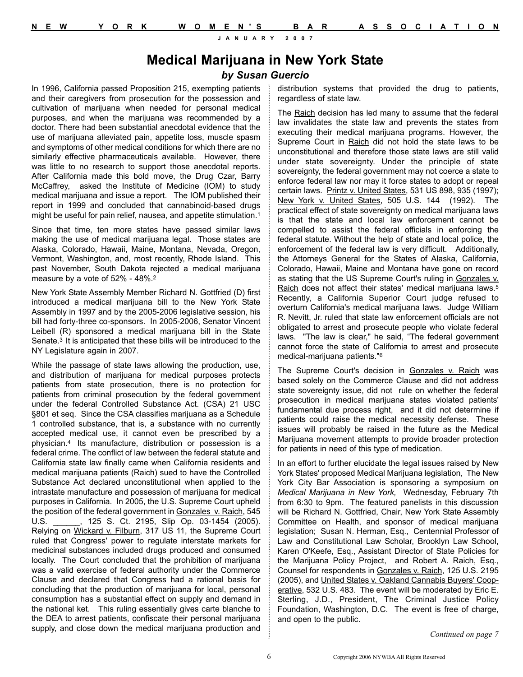# **Medical Marijuana in New York State**

#### *by Susan Guercio*

In 1996, California passed Proposition 215, exempting patients and their caregivers from prosecution for the possession and cultivation of marijuana when needed for personal medical purposes, and when the marijuana was recommended by a doctor. There had been substantial anecdotal evidence that the use of marijuana alleviated pain, appetite loss, muscle spasm and symptoms of other medical conditions for which there are no similarly effective pharmaceuticals available. However, there was little to no research to support those anecdotal reports. After California made this bold move, the Drug Czar, Barry McCaffrey, asked the Institute of Medicine (IOM) to study medical marijuana and issue a report. The IOM published their report in 1999 and concluded that cannabinoid-based drugs might be useful for pain relief, nausea, and appetite stimulation.1

Since that time, ten more states have passed similar laws making the use of medical marijuana legal. Those states are Alaska, Colorado, Hawaii, Maine, Montana, Nevada, Oregon, Vermont, Washington, and, most recently, Rhode Island. This past November, South Dakota rejected a medical marijuana measure by a vote of 52% - 48%.2

New York State Assembly Member Richard N. Gottfried (D) first introduced a medical marijuana bill to the New York State Assembly in 1997 and by the 2005-2006 legislative session, his bill had forty-three co-sponsors. In 2005-2006, Senator Vincent Leibell (R) sponsored a medical marijuana bill in the State Senate.3 It is anticipated that these bills will be introduced to the NY Legislature again in 2007.

While the passage of state laws allowing the production, use, and distribution of marijuana for medical purposes protects patients from state prosecution, there is no protection for patients from criminal prosecution by the federal government under the federal Controlled Substance Act. (CSA) 21 USC §801 et seq. Since the CSA classifies marijuana as a Schedule 1 controlled substance, that is, a substance with no currently accepted medical use, it cannot even be prescribed by a physician.4 Its manufacture, distribution or possession is a federal crime. The conflict of law between the federal statute and California state law finally came when California residents and medical marijuana patients (Raich) sued to have the Controlled Substance Act declared unconstitutional when applied to the intrastate manufacture and possession of marijuana for medical purposes in California. In 2005, the U.S. Supreme Court upheld the position of the federal government in Gonzales v. Raich, 545 U.S. \_\_\_\_\_\_, 125 S. Ct. 2195, Slip Op. 03-1454 (2005). Relying on Wickard v. Filburn, 317 US 11, the Supreme Court ruled that Congress' power to regulate interstate markets for medicinal substances included drugs produced and consumed locally. The Court concluded that the prohibition of marijuana was a valid exercise of federal authority under the Commerce Clause and declared that Congress had a rational basis for concluding that the production of marijuana for local, personal consumption has a substantial effect on supply and demand in the national ket. This ruling essentially gives carte blanche to the DEA to arrest patients, confiscate their personal marijuana supply, and close down the medical marijuana production and distribution systems that provided the drug to patients, regardless of state law.

The Raich decision has led many to assume that the federal law invalidates the state law and prevents the states from executing their medical marijuana programs. However, the Supreme Court in Raich did not hold the state laws to be unconstitutional and therefore those state laws are still valid under state sovereignty. Under the principle of state sovereignty, the federal government may not coerce a state to enforce federal law nor may it force states to adopt or repeal certain laws. Printz v. United States, 531 US 898, 935 (1997); New York v. United States, 505 U.S. 144 (1992). The practical effect of state sovereignty on medical marijuana laws is that the state and local law enforcement cannot be compelled to assist the federal officials in enforcing the federal statute. Without the help of state and local police, the enforcement of the federal law is very difficult. Additionally, the Attorneys General for the States of Alaska, California, Colorado, Hawaii, Maine and Montana have gone on record as stating that the US Supreme Court's ruling in Gonzales v. Raich does not affect their states' medical marijuana laws.5 Recently, a California Superior Court judge refused to overturn California's medical marijuana laws. Judge William R. Nevitt, Jr. ruled that state law enforcement officials are not obligated to arrest and prosecute people who violate federal laws. "The law is clear," he said, "The federal government cannot force the state of California to arrest and prosecute medical-marijuana patients."6

The Supreme Court's decision in Gonzales v. Raich was based solely on the Commerce Clause and did not address state sovereignty issue, did not rule on whether the federal prosecution in medical marijuana states violated patients' fundamental due process right, and it did not determine if patients could raise the medical necessity defense. These issues will probably be raised in the future as the Medical Marijuana movement attempts to provide broader protection for patients in need of this type of medication.

In an effort to further elucidate the legal issues raised by New York States' proposed Medical Marijuana legislation, The New York City Bar Association is sponsoring a symposium on *Medical Marijuana in New York,* Wednesday, February 7th from 6:30 to 9pm. The featured panelists in this discussion will be Richard N. Gottfried, Chair, New York State Assembly Committee on Health, and sponsor of medical marijuana legislation; Susan N. Herman, Esq., Centennial Professor of Law and Constitutional Law Scholar, Brooklyn Law School, Karen O'Keefe, Esq., Assistant Director of State Policies for the Marijuana Policy Project, and Robert A. Raich, Esq., Counsel for respondents in Gonzales v. Raich, 125 U.S. 2195 (2005), and United States v. Oakland Cannabis Buyers' Cooperative, 532 U.S. 483. The event will be moderated by Eric E. Sterling, J.D., President, The Criminal Justice Policy Foundation, Washington, D.C. The event is free of charge, and open to the public.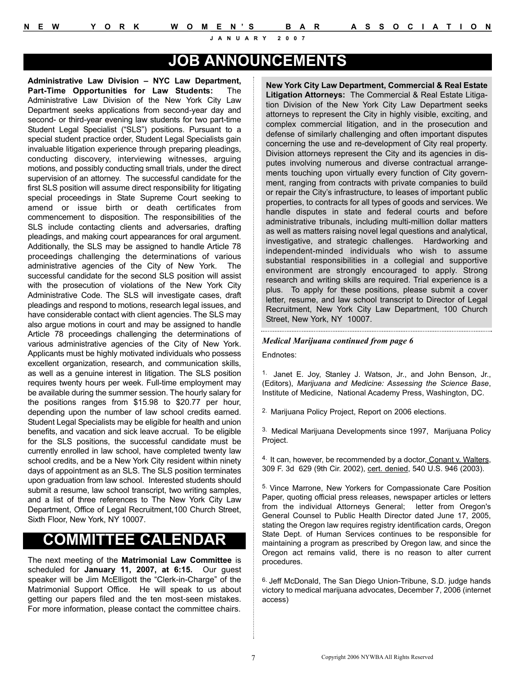# **JOB ANNOUNCEMENTS**

**Administrative Law Division – NYC Law Department, Part-Time Opportunities for Law Students:** The Administrative Law Division of the New York City Law Department seeks applications from second-year day and second- or third-year evening law students for two part-time Student Legal Specialist ("SLS") positions. Pursuant to a special student practice order, Student Legal Specialists gain invaluable litigation experience through preparing pleadings, conducting discovery, interviewing witnesses, arguing motions, and possibly conducting small trials, under the direct supervision of an attorney. The successful candidate for the first SLS position will assume direct responsibility for litigating special proceedings in State Supreme Court seeking to amend or issue birth or death certificates from commencement to disposition. The responsibilities of the SLS include contacting clients and adversaries, drafting pleadings, and making court appearances for oral argument. Additionally, the SLS may be assigned to handle Article 78 proceedings challenging the determinations of various administrative agencies of the City of New York. The successful candidate for the second SLS position will assist with the prosecution of violations of the New York City Administrative Code. The SLS will investigate cases, draft pleadings and respond to motions, research legal issues, and have considerable contact with client agencies. The SLS may also argue motions in court and may be assigned to handle Article 78 proceedings challenging the determinations of various administrative agencies of the City of New York. Applicants must be highly motivated individuals who possess excellent organization, research, and communication skills, as well as a genuine interest in litigation. The SLS position requires twenty hours per week. Full-time employment may be available during the summer session. The hourly salary for the positions ranges from \$15.98 to \$20.77 per hour, depending upon the number of law school credits earned. Student Legal Specialists may be eligible for health and union benefits, and vacation and sick leave accrual. To be eligible for the SLS positions, the successful candidate must be currently enrolled in law school, have completed twenty law school credits, and be a New York City resident within ninety days of appointment as an SLS. The SLS position terminates upon graduation from law school. Interested students should submit a resume, law school transcript, two writing samples, and a list of three references to The New York City Law Department, Office of Legal Recruitment,100 Church Street, Sixth Floor, New York, NY 10007.

# **COMMITTEE CALENDAR**

The next meeting of the **Matrimonial Law Committee** is scheduled for **January 11, 2007, at 6:15.** Our guest speaker will be Jim McElligott the "Clerk-in-Charge" of the Matrimonial Support Office. He will speak to us about getting our papers filed and the ten most-seen mistakes. For more information, please contact the committee chairs.

**New York City Law Department, Commercial & Real Estate Litigation Attorneys:** The Commercial & Real Estate Litigation Division of the New York City Law Department seeks attorneys to represent the City in highly visible, exciting, and complex commercial litigation, and in the prosecution and defense of similarly challenging and often important disputes concerning the use and re-development of City real property. Division attorneys represent the City and its agencies in disputes involving numerous and diverse contractual arrangements touching upon virtually every function of City government, ranging from contracts with private companies to build or repair the City's infrastructure, to leases of important public properties, to contracts for all types of goods and services. We handle disputes in state and federal courts and before administrative tribunals, including multi-million dollar matters as well as matters raising novel legal questions and analytical, investigative, and strategic challenges. Hardworking and independent-minded individuals who wish to assume substantial responsibilities in a collegial and supportive environment are strongly encouraged to apply. Strong research and writing skills are required. Trial experience is a plus. To apply for these positions, please submit a cover letter, resume, and law school transcript to Director of Legal Recruitment, New York City Law Department, 100 Church Street, New York, NY 10007.

#### *Medical Marijuana continued from page 6*

Endnotes:

1. Janet E. Joy, Stanley J. Watson, Jr., and John Benson, Jr., (Editors), *Marijuana and Medicine: Assessing the Science Base*, Institute of Medicine, National Academy Press, Washington, DC.

2. Marijuana Policy Project, Report on 2006 elections.

3. Medical Marijuana Developments since 1997, Marijuana Policy Project.

4. It can, however, be recommended by a doctor, Conant v. Walters, 309 F. 3d 629 (9th Cir. 2002), cert. denied, 540 U.S. 946 (2003).

5. Vince Marrone, New Yorkers for Compassionate Care Position Paper, quoting official press releases, newspaper articles or letters from the individual Attorneys General; letter from Oregon's General Counsel to Public Health Director dated June 17, 2005, stating the Oregon law requires registry identification cards, Oregon State Dept. of Human Services continues to be responsible for maintaining a program as prescribed by Oregon law, and since the Oregon act remains valid, there is no reason to alter current procedures.

6. Jeff McDonald, The San Diego Union-Tribune, S.D. judge hands victory to medical marijuana advocates, December 7, 2006 (internet access)